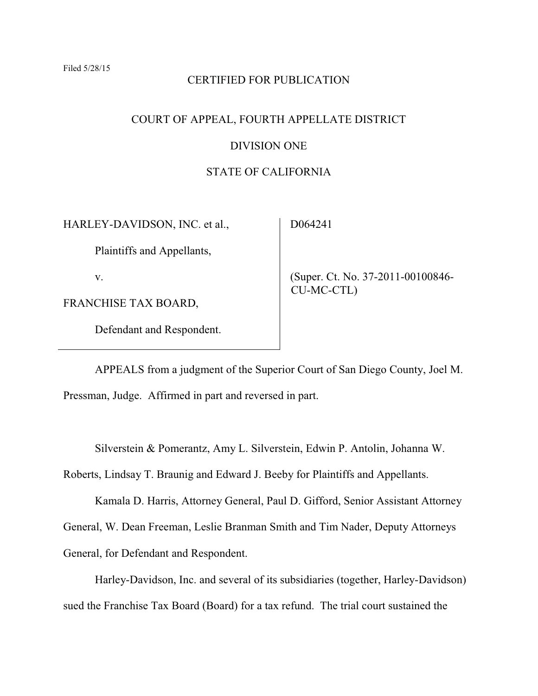### CERTIFIED FOR PUBLICATION

## COURT OF APPEAL, FOURTH APPELLATE DISTRICT

### DIVISION ONE

### STATE OF CALIFORNIA

HARLEY-DAVIDSON, INC. et al.,

D064241

Plaintiffs and Appellants,

v.

FRANCHISE TAX BOARD,

Defendant and Respondent.

(Super. Ct. No. 37-2011-00100846- CU-MC-CTL)

APPEALS from a judgment of the Superior Court of San Diego County, Joel M. Pressman, Judge. Affirmed in part and reversed in part.

Silverstein & Pomerantz, Amy L. Silverstein, Edwin P. Antolin, Johanna W.

Roberts, Lindsay T. Braunig and Edward J. Beeby for Plaintiffs and Appellants.

Kamala D. Harris, Attorney General, Paul D. Gifford, Senior Assistant Attorney General, W. Dean Freeman, Leslie Branman Smith and Tim Nader, Deputy Attorneys

General, for Defendant and Respondent.

Harley-Davidson, Inc. and several of its subsidiaries (together, Harley-Davidson) sued the Franchise Tax Board (Board) for a tax refund. The trial court sustained the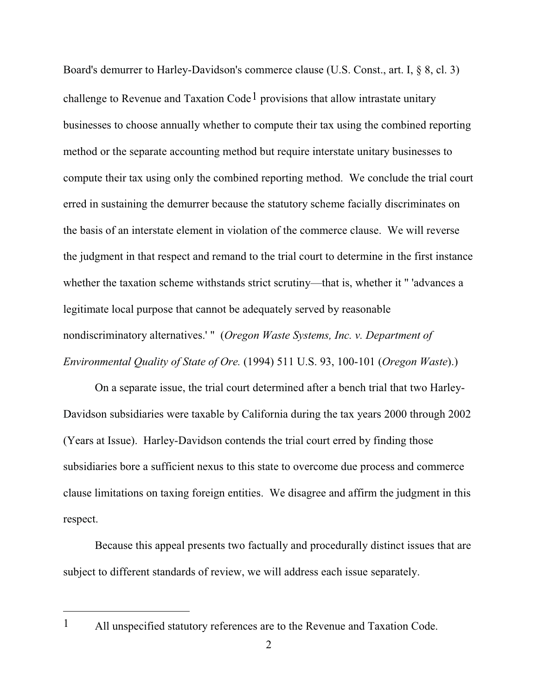Board's demurrer to Harley-Davidson's commerce clause (U.S. Const., art. I, § 8, cl. 3) challenge to Revenue and Taxation Code<sup>1</sup> provisions that allow intrastate unitary businesses to choose annually whether to compute their tax using the combined reporting method or the separate accounting method but require interstate unitary businesses to compute their tax using only the combined reporting method. We conclude the trial court erred in sustaining the demurrer because the statutory scheme facially discriminates on the basis of an interstate element in violation of the commerce clause. We will reverse the judgment in that respect and remand to the trial court to determine in the first instance whether the taxation scheme withstands strict scrutiny—that is, whether it " 'advances a legitimate local purpose that cannot be adequately served by reasonable nondiscriminatory alternatives.' " (*Oregon Waste Systems, Inc. v. Department of Environmental Quality of State of Ore.* (1994) 511 U.S. 93, 100-101 (*Oregon Waste*).)

On a separate issue, the trial court determined after a bench trial that two Harley-Davidson subsidiaries were taxable by California during the tax years 2000 through 2002 (Years at Issue). Harley-Davidson contends the trial court erred by finding those subsidiaries bore a sufficient nexus to this state to overcome due process and commerce clause limitations on taxing foreign entities. We disagree and affirm the judgment in this respect.

Because this appeal presents two factually and procedurally distinct issues that are subject to different standards of review, we will address each issue separately.

<sup>1</sup> All unspecified statutory references are to the Revenue and Taxation Code.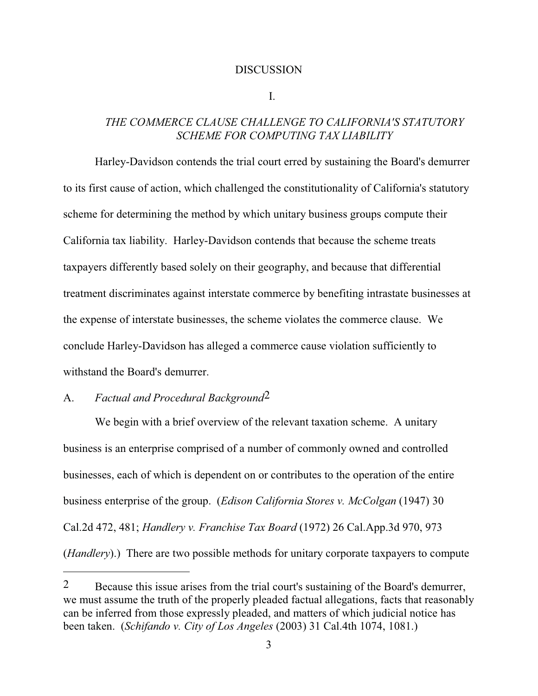#### DISCUSSION

I.

## *THE COMMERCE CLAUSE CHALLENGE TO CALIFORNIA'S STATUTORY SCHEME FOR COMPUTING TAX LIABILITY*

Harley-Davidson contends the trial court erred by sustaining the Board's demurrer to its first cause of action, which challenged the constitutionality of California's statutory scheme for determining the method by which unitary business groups compute their California tax liability. Harley-Davidson contends that because the scheme treats taxpayers differently based solely on their geography, and because that differential treatment discriminates against interstate commerce by benefiting intrastate businesses at the expense of interstate businesses, the scheme violates the commerce clause. We conclude Harley-Davidson has alleged a commerce cause violation sufficiently to withstand the Board's demurrer.

# A. *Factual and Procedural Background*2

We begin with a brief overview of the relevant taxation scheme. A unitary business is an enterprise comprised of a number of commonly owned and controlled businesses, each of which is dependent on or contributes to the operation of the entire business enterprise of the group. (*Edison California Stores v. McColgan* (1947) 30 Cal.2d 472, 481; *Handlery v. Franchise Tax Board* (1972) 26 Cal.App.3d 970, 973 (*Handlery*).) There are two possible methods for unitary corporate taxpayers to compute

<sup>&</sup>lt;sup>2</sup> Because this issue arises from the trial court's sustaining of the Board's demurrer, we must assume the truth of the properly pleaded factual allegations, facts that reasonably can be inferred from those expressly pleaded, and matters of which judicial notice has been taken. (*Schifando v. City of Los Angeles* (2003) 31 Cal.4th 1074, 1081.)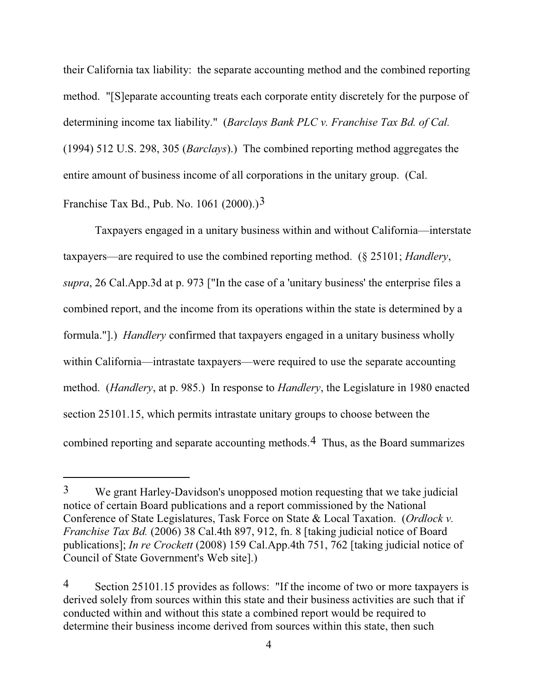their California tax liability: the separate accounting method and the combined reporting method. "[S]eparate accounting treats each corporate entity discretely for the purpose of determining income tax liability." (*Barclays Bank PLC v. Franchise Tax Bd. of Cal.* (1994) 512 U.S. 298, 305 (*Barclays*).) The combined reporting method aggregates the entire amount of business income of all corporations in the unitary group. (Cal. Franchise Tax Bd., Pub. No. 1061 (2000).)<sup>3</sup>

Taxpayers engaged in a unitary business within and without California—interstate taxpayers—are required to use the combined reporting method. (§ 25101; *Handlery*, *supra*, 26 Cal.App.3d at p. 973 ["In the case of a 'unitary business' the enterprise files a combined report, and the income from its operations within the state is determined by a formula."].) *Handlery* confirmed that taxpayers engaged in a unitary business wholly within California—intrastate taxpayers—were required to use the separate accounting method. (*Handlery*, at p. 985.) In response to *Handlery*, the Legislature in 1980 enacted section 25101.15, which permits intrastate unitary groups to choose between the combined reporting and separate accounting methods.4 Thus, as the Board summarizes

<sup>3</sup> We grant Harley-Davidson's unopposed motion requesting that we take judicial notice of certain Board publications and a report commissioned by the National Conference of State Legislatures, Task Force on State & Local Taxation. (*Ordlock v. Franchise Tax Bd.* (2006) 38 Cal.4th 897, 912, fn. 8 [taking judicial notice of Board publications]; *In re Crockett* (2008) 159 Cal.App.4th 751, 762 [taking judicial notice of Council of State Government's Web site].)

<sup>4</sup> Section 25101.15 provides as follows: "If the income of two or more taxpayers is derived solely from sources within this state and their business activities are such that if conducted within and without this state a combined report would be required to determine their business income derived from sources within this state, then such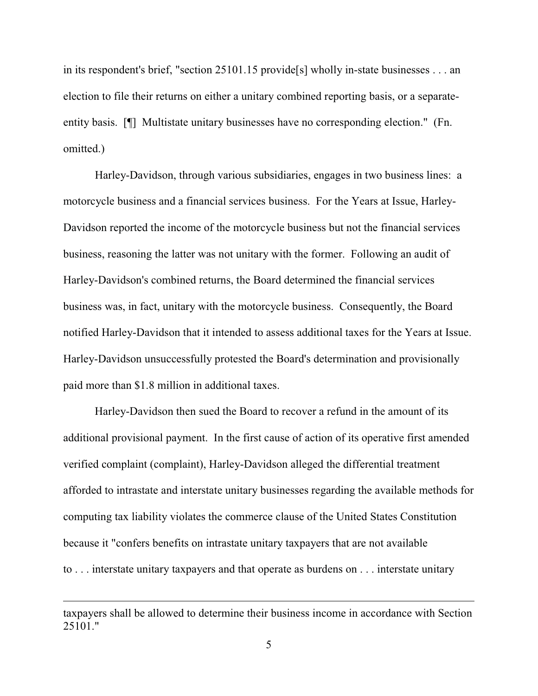in its respondent's brief, "section 25101.15 provide[s] wholly in-state businesses . . . an election to file their returns on either a unitary combined reporting basis, or a separateentity basis. [¶] Multistate unitary businesses have no corresponding election." (Fn. omitted.)

Harley-Davidson, through various subsidiaries, engages in two business lines: a motorcycle business and a financial services business. For the Years at Issue, Harley-Davidson reported the income of the motorcycle business but not the financial services business, reasoning the latter was not unitary with the former. Following an audit of Harley-Davidson's combined returns, the Board determined the financial services business was, in fact, unitary with the motorcycle business. Consequently, the Board notified Harley-Davidson that it intended to assess additional taxes for the Years at Issue. Harley-Davidson unsuccessfully protested the Board's determination and provisionally paid more than \$1.8 million in additional taxes.

Harley-Davidson then sued the Board to recover a refund in the amount of its additional provisional payment. In the first cause of action of its operative first amended verified complaint (complaint), Harley-Davidson alleged the differential treatment afforded to intrastate and interstate unitary businesses regarding the available methods for computing tax liability violates the commerce clause of the United States Constitution because it "confers benefits on intrastate unitary taxpayers that are not available to . . . interstate unitary taxpayers and that operate as burdens on . . . interstate unitary

taxpayers shall be allowed to determine their business income in accordance with Section 25101."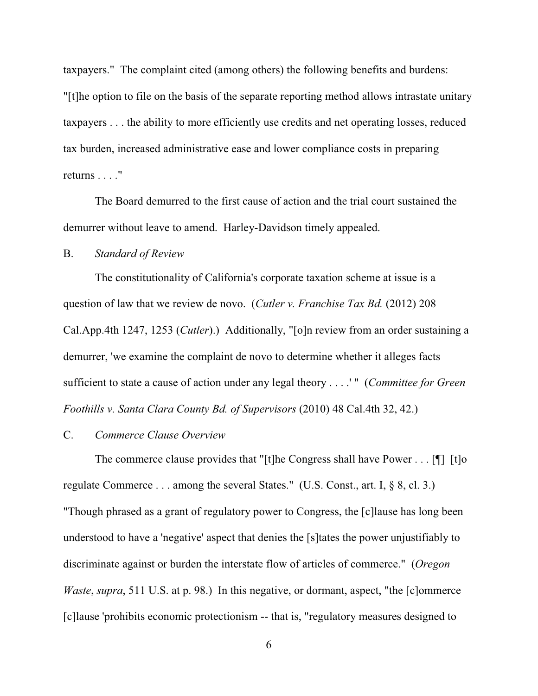taxpayers." The complaint cited (among others) the following benefits and burdens: "[t]he option to file on the basis of the separate reporting method allows intrastate unitary taxpayers . . . the ability to more efficiently use credits and net operating losses, reduced tax burden, increased administrative ease and lower compliance costs in preparing returns . . . ."

The Board demurred to the first cause of action and the trial court sustained the demurrer without leave to amend. Harley-Davidson timely appealed.

### B. *Standard of Review*

The constitutionality of California's corporate taxation scheme at issue is a question of law that we review de novo. (*Cutler v. Franchise Tax Bd.* (2012) 208 Cal.App.4th 1247, 1253 (*Cutler*).) Additionally, "[o]n review from an order sustaining a demurrer, 'we examine the complaint de novo to determine whether it alleges facts sufficient to state a cause of action under any legal theory . . . .' " (*Committee for Green Foothills v. Santa Clara County Bd. of Supervisors* (2010) 48 Cal.4th 32, 42.)

### C. *Commerce Clause Overview*

The commerce clause provides that "[t]he Congress shall have Power . . . [ $\parallel$ ] [t]o regulate Commerce . . . among the several States." (U.S. Const., art. I, § 8, cl. 3.) "Though phrased as a grant of regulatory power to Congress, the [c]lause has long been understood to have a 'negative' aspect that denies the [s]tates the power unjustifiably to discriminate against or burden the interstate flow of articles of commerce." (*Oregon Waste, supra,* 511 U.S. at p. 98.) In this negative, or dormant, aspect, "the [c]ommerce [c]lause 'prohibits economic protectionism -- that is, "regulatory measures designed to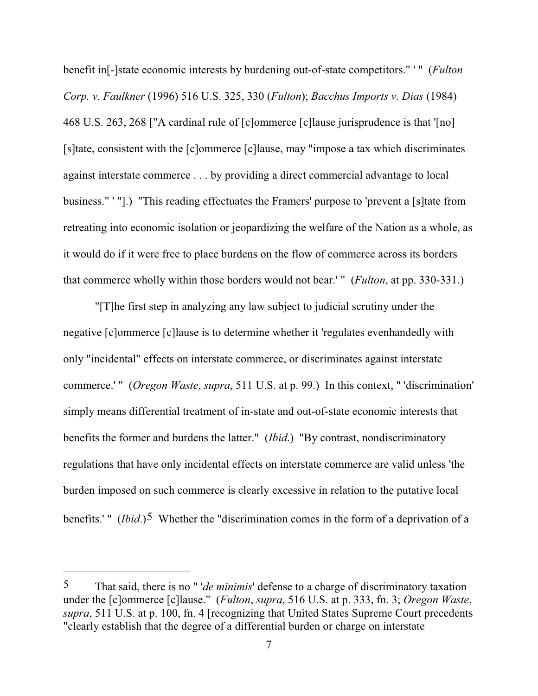benefit in[-]state economic interests by burdening out-of-state competitors." ' " (*Fulton Corp. v. Faulkner* (1996) 516 U.S. 325, 330 (*Fulton*); *Bacchus Imports v. Dias* (1984) 468 U.S. 263, 268 ["A cardinal rule of [c]ommerce [c]lause jurisprudence is that '[no] [s]tate, consistent with the [c]ommerce [c]lause, may "impose a tax which discriminates against interstate commerce . . . by providing a direct commercial advantage to local business." ' "].) "This reading effectuates the Framers' purpose to 'prevent a [s]tate from retreating into economic isolation or jeopardizing the welfare of the Nation as a whole, as it would do if it were free to place burdens on the flow of commerce across its borders that commerce wholly within those borders would not bear.' " (*Fulton*, at pp. 330-331.)

"[T]he first step in analyzing any law subject to judicial scrutiny under the negative [c]ommerce [c]lause is to determine whether it 'regulates evenhandedly with only "incidental" effects on interstate commerce, or discriminates against interstate commerce.' " (*Oregon Waste*, *supra*, 511 U.S. at p. 99.) In this context, " 'discrimination' simply means differential treatment of in-state and out-of-state economic interests that benefits the former and burdens the latter." (*Ibid*.) "By contrast, nondiscriminatory regulations that have only incidental effects on interstate commerce are valid unless 'the burden imposed on such commerce is clearly excessive in relation to the putative local benefits.' " (*Ibid*.)<sup>5</sup> Whether the "discrimination comes in the form of a deprivation of a

<sup>5</sup> That said, there is no " '*de minimis*' defense to a charge of discriminatory taxation under the [c]ommerce [c]lause." (*Fulton*, *supra*, 516 U.S. at p. 333, fn. 3; *Oregon Waste*, *supra*, 511 U.S. at p. 100, fn. 4 [recognizing that United States Supreme Court precedents "clearly establish that the degree of a differential burden or charge on interstate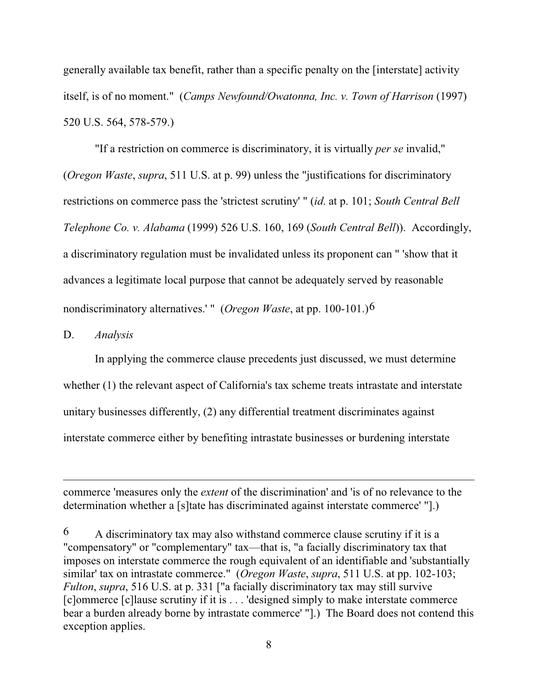generally available tax benefit, rather than a specific penalty on the [interstate] activity itself, is of no moment." (*Camps Newfound/Owatonna, Inc. v. Town of Harrison* (1997) 520 U.S. 564, 578-579.)

"If a restriction on commerce is discriminatory, it is virtually *per se* invalid," (*Oregon Waste*, *supra*, 511 U.S. at p. 99) unless the "justifications for discriminatory restrictions on commerce pass the 'strictest scrutiny' " (*id*. at p. 101; *South Central Bell Telephone Co. v. Alabama* (1999) 526 U.S. 160, 169 (*South Central Bell*)). Accordingly, a discriminatory regulation must be invalidated unless its proponent can " 'show that it advances a legitimate local purpose that cannot be adequately served by reasonable nondiscriminatory alternatives.' " (*Oregon Waste*, at pp. 100-101.)6

D. *Analysis*

In applying the commerce clause precedents just discussed, we must determine whether (1) the relevant aspect of California's tax scheme treats intrastate and interstate unitary businesses differently, (2) any differential treatment discriminates against interstate commerce either by benefiting intrastate businesses or burdening interstate

commerce 'measures only the *extent* of the discrimination' and 'is of no relevance to the determination whether a [s]tate has discriminated against interstate commerce' "].)

 $6$  A discriminatory tax may also withstand commerce clause scrutiny if it is a "compensatory" or "complementary" tax—that is, "a facially discriminatory tax that imposes on interstate commerce the rough equivalent of an identifiable and 'substantially similar' tax on intrastate commerce." (*Oregon Waste*, *supra*, 511 U.S. at pp. 102-103; *Fulton*, *supra*, 516 U.S. at p. 331 ["a facially discriminatory tax may still survive [c]ommerce [c]lause scrutiny if it is...'designed simply to make interstate commerce bear a burden already borne by intrastate commerce' "].) The Board does not contend this exception applies.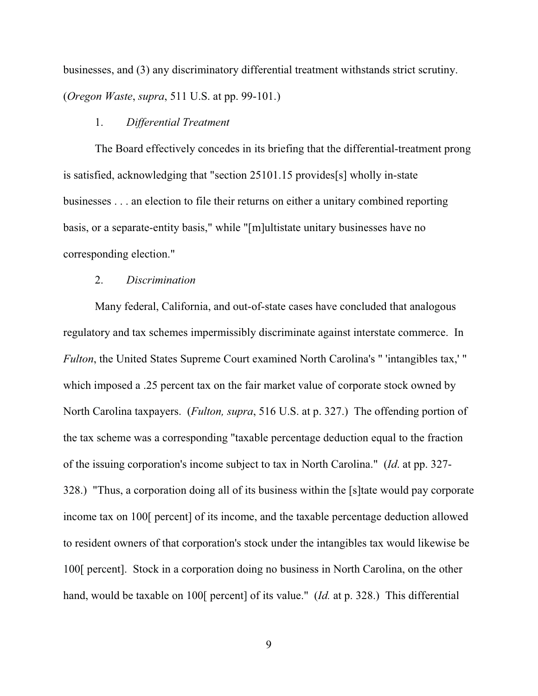businesses, and (3) any discriminatory differential treatment withstands strict scrutiny. (*Oregon Waste*, *supra*, 511 U.S. at pp. 99-101.)

## 1. *Differential Treatment*

The Board effectively concedes in its briefing that the differential-treatment prong is satisfied, acknowledging that "section 25101.15 provides[s] wholly in-state businesses . . . an election to file their returns on either a unitary combined reporting basis, or a separate-entity basis," while "[m]ultistate unitary businesses have no corresponding election."

### 2. *Discrimination*

Many federal, California, and out-of-state cases have concluded that analogous regulatory and tax schemes impermissibly discriminate against interstate commerce. In *Fulton*, the United States Supreme Court examined North Carolina's " 'intangibles tax,' " which imposed a .25 percent tax on the fair market value of corporate stock owned by North Carolina taxpayers. (*Fulton, supra*, 516 U.S. at p. 327.) The offending portion of the tax scheme was a corresponding "taxable percentage deduction equal to the fraction of the issuing corporation's income subject to tax in North Carolina." (*Id*. at pp. 327- 328.) "Thus, a corporation doing all of its business within the [s]tate would pay corporate income tax on 100[ percent] of its income, and the taxable percentage deduction allowed to resident owners of that corporation's stock under the intangibles tax would likewise be 100[ percent]. Stock in a corporation doing no business in North Carolina, on the other hand, would be taxable on 100[ percent] of its value." (*Id.* at p. 328.) This differential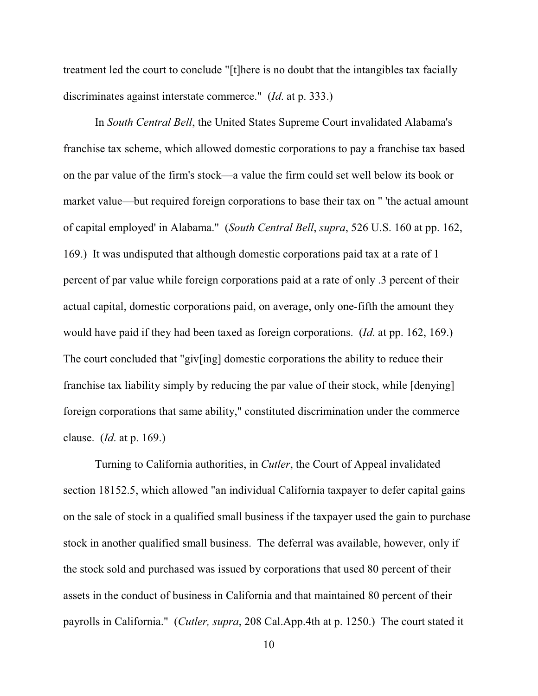treatment led the court to conclude "[t]here is no doubt that the intangibles tax facially discriminates against interstate commerce." (*Id*. at p. 333.)

In *South Central Bell*, the United States Supreme Court invalidated Alabama's franchise tax scheme, which allowed domestic corporations to pay a franchise tax based on the par value of the firm's stock—a value the firm could set well below its book or market value—but required foreign corporations to base their tax on " 'the actual amount of capital employed' in Alabama." (*South Central Bell*, *supra*, 526 U.S. 160 at pp. 162, 169.) It was undisputed that although domestic corporations paid tax at a rate of 1 percent of par value while foreign corporations paid at a rate of only .3 percent of their actual capital, domestic corporations paid, on average, only one-fifth the amount they would have paid if they had been taxed as foreign corporations. (*Id*. at pp. 162, 169.) The court concluded that "giv[ing] domestic corporations the ability to reduce their franchise tax liability simply by reducing the par value of their stock, while [denying] foreign corporations that same ability," constituted discrimination under the commerce clause. (*Id*. at p. 169.)

Turning to California authorities, in *Cutler*, the Court of Appeal invalidated section 18152.5, which allowed "an individual California taxpayer to defer capital gains on the sale of stock in a qualified small business if the taxpayer used the gain to purchase stock in another qualified small business. The deferral was available, however, only if the stock sold and purchased was issued by corporations that used 80 percent of their assets in the conduct of business in California and that maintained 80 percent of their payrolls in California." (*Cutler, supra*, 208 Cal.App.4th at p. 1250.) The court stated it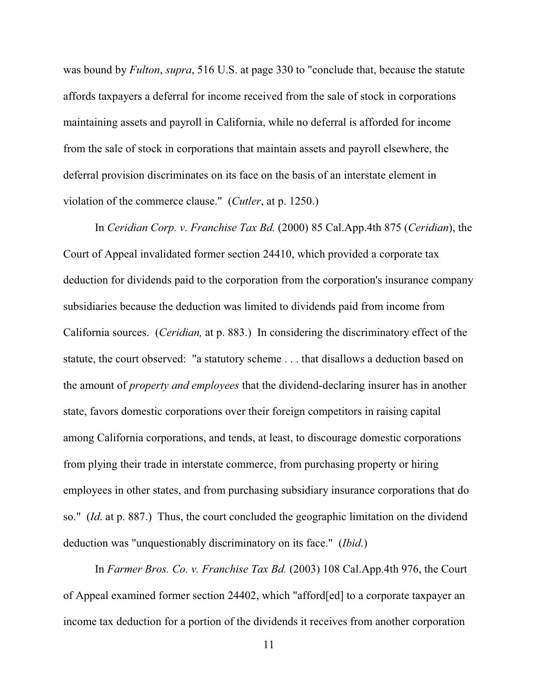was bound by *Fulton*, *supra*, 516 U.S. at page 330 to "conclude that, because the statute affords taxpayers a deferral for income received from the sale of stock in corporations maintaining assets and payroll in California, while no deferral is afforded for income from the sale of stock in corporations that maintain assets and payroll elsewhere, the deferral provision discriminates on its face on the basis of an interstate element in violation of the commerce clause." (*Cutler*, at p. 1250.)

In *Ceridian Corp. v. Franchise Tax Bd.* (2000) 85 Cal.App.4th 875 (*Ceridian*), the Court of Appeal invalidated former section 24410, which provided a corporate tax deduction for dividends paid to the corporation from the corporation's insurance company subsidiaries because the deduction was limited to dividends paid from income from California sources. (*Ceridian,* at p. 883.) In considering the discriminatory effect of the statute, the court observed: "a statutory scheme . . . that disallows a deduction based on the amount of *property and employees* that the dividend-declaring insurer has in another state, favors domestic corporations over their foreign competitors in raising capital among California corporations, and tends, at least, to discourage domestic corporations from plying their trade in interstate commerce, from purchasing property or hiring employees in other states, and from purchasing subsidiary insurance corporations that do so." (*Id*. at p. 887.) Thus, the court concluded the geographic limitation on the dividend deduction was "unquestionably discriminatory on its face." (*Ibid*.)

In *Farmer Bros. Co. v. Franchise Tax Bd.* (2003) 108 Cal.App.4th 976, the Court of Appeal examined former section 24402, which "afford[ed] to a corporate taxpayer an income tax deduction for a portion of the dividends it receives from another corporation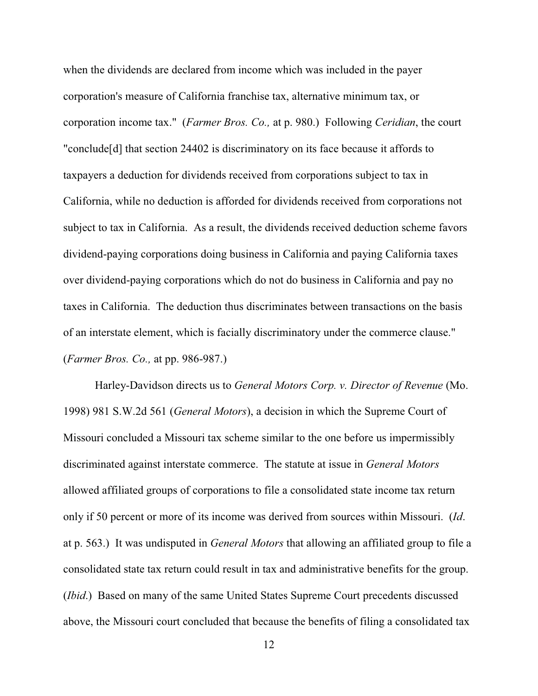when the dividends are declared from income which was included in the payer corporation's measure of California franchise tax, alternative minimum tax, or corporation income tax." (*Farmer Bros. Co.,* at p. 980.) Following *Ceridian*, the court "conclude[d] that section 24402 is discriminatory on its face because it affords to taxpayers a deduction for dividends received from corporations subject to tax in California, while no deduction is afforded for dividends received from corporations not subject to tax in California. As a result, the dividends received deduction scheme favors dividend-paying corporations doing business in California and paying California taxes over dividend-paying corporations which do not do business in California and pay no taxes in California. The deduction thus discriminates between transactions on the basis of an interstate element, which is facially discriminatory under the commerce clause." (*Farmer Bros. Co.,* at pp. 986-987.)

Harley-Davidson directs us to *General Motors Corp. v. Director of Revenue* (Mo. 1998) 981 S.W.2d 561 (*General Motors*), a decision in which the Supreme Court of Missouri concluded a Missouri tax scheme similar to the one before us impermissibly discriminated against interstate commerce. The statute at issue in *General Motors* allowed affiliated groups of corporations to file a consolidated state income tax return only if 50 percent or more of its income was derived from sources within Missouri. (*Id*. at p. 563.) It was undisputed in *General Motors* that allowing an affiliated group to file a consolidated state tax return could result in tax and administrative benefits for the group. (*Ibid*.) Based on many of the same United States Supreme Court precedents discussed above, the Missouri court concluded that because the benefits of filing a consolidated tax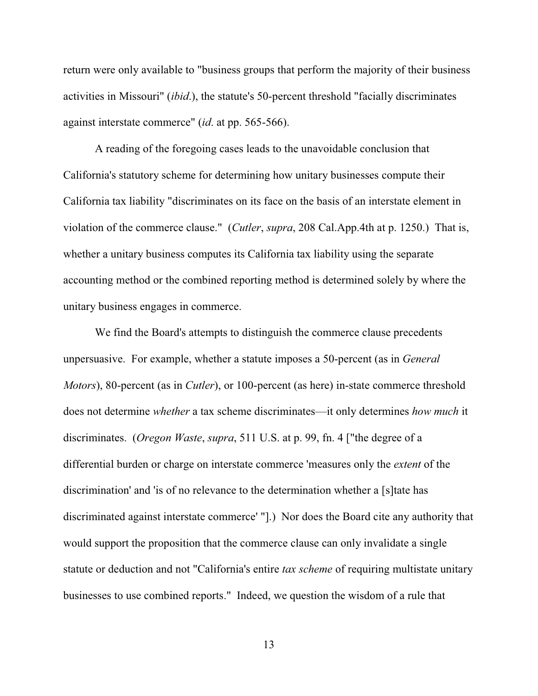return were only available to "business groups that perform the majority of their business activities in Missouri" (*ibid*.), the statute's 50-percent threshold "facially discriminates against interstate commerce" (*id*. at pp. 565-566).

A reading of the foregoing cases leads to the unavoidable conclusion that California's statutory scheme for determining how unitary businesses compute their California tax liability "discriminates on its face on the basis of an interstate element in violation of the commerce clause." (*Cutler*, *supra*, 208 Cal.App.4th at p. 1250.) That is, whether a unitary business computes its California tax liability using the separate accounting method or the combined reporting method is determined solely by where the unitary business engages in commerce.

We find the Board's attempts to distinguish the commerce clause precedents unpersuasive. For example, whether a statute imposes a 50-percent (as in *General Motors*), 80-percent (as in *Cutler*), or 100-percent (as here) in-state commerce threshold does not determine *whether* a tax scheme discriminates—it only determines *how much* it discriminates. (*Oregon Waste*, *supra*, 511 U.S. at p. 99, fn. 4 ["the degree of a differential burden or charge on interstate commerce 'measures only the *extent* of the discrimination' and 'is of no relevance to the determination whether a [s]tate has discriminated against interstate commerce' "].) Nor does the Board cite any authority that would support the proposition that the commerce clause can only invalidate a single statute or deduction and not "California's entire *tax scheme* of requiring multistate unitary businesses to use combined reports." Indeed, we question the wisdom of a rule that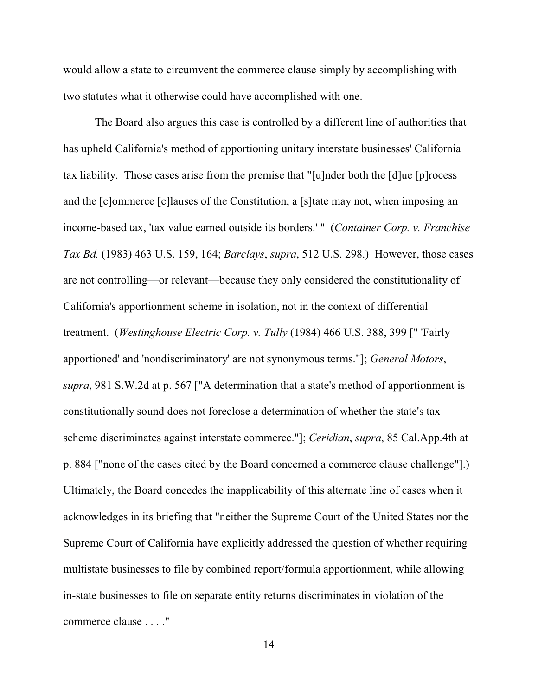would allow a state to circumvent the commerce clause simply by accomplishing with two statutes what it otherwise could have accomplished with one.

The Board also argues this case is controlled by a different line of authorities that has upheld California's method of apportioning unitary interstate businesses' California tax liability. Those cases arise from the premise that "[u]nder both the [d]ue [p]rocess and the [c]ommerce [c]lauses of the Constitution, a [s]tate may not, when imposing an income-based tax, 'tax value earned outside its borders.' " (*Container Corp. v. Franchise Tax Bd.* (1983) 463 U.S. 159, 164; *Barclays*, *supra*, 512 U.S. 298.) However, those cases are not controlling—or relevant—because they only considered the constitutionality of California's apportionment scheme in isolation, not in the context of differential treatment. (*Westinghouse Electric Corp. v. Tully* (1984) 466 U.S. 388, 399 [" 'Fairly apportioned' and 'nondiscriminatory' are not synonymous terms."]; *General Motors*, *supra*, 981 S.W.2d at p. 567 ["A determination that a state's method of apportionment is constitutionally sound does not foreclose a determination of whether the state's tax scheme discriminates against interstate commerce."]; *Ceridian*, *supra*, 85 Cal.App.4th at p. 884 ["none of the cases cited by the Board concerned a commerce clause challenge"].) Ultimately, the Board concedes the inapplicability of this alternate line of cases when it acknowledges in its briefing that "neither the Supreme Court of the United States nor the Supreme Court of California have explicitly addressed the question of whether requiring multistate businesses to file by combined report/formula apportionment, while allowing in-state businesses to file on separate entity returns discriminates in violation of the commerce clause . . . ."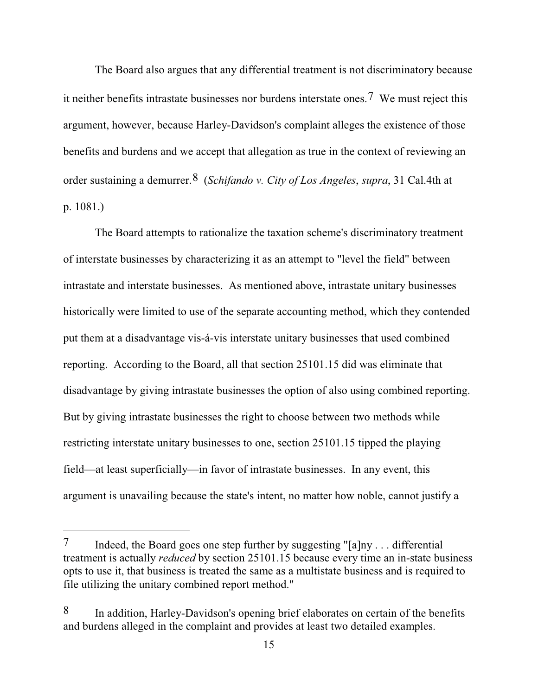The Board also argues that any differential treatment is not discriminatory because it neither benefits intrastate businesses nor burdens interstate ones.7 We must reject this argument, however, because Harley-Davidson's complaint alleges the existence of those benefits and burdens and we accept that allegation as true in the context of reviewing an order sustaining a demurrer.8 (*Schifando v. City of Los Angeles*, *supra*, 31 Cal.4th at p. 1081.)

The Board attempts to rationalize the taxation scheme's discriminatory treatment of interstate businesses by characterizing it as an attempt to "level the field" between intrastate and interstate businesses. As mentioned above, intrastate unitary businesses historically were limited to use of the separate accounting method, which they contended put them at a disadvantage vis-á-vis interstate unitary businesses that used combined reporting. According to the Board, all that section 25101.15 did was eliminate that disadvantage by giving intrastate businesses the option of also using combined reporting. But by giving intrastate businesses the right to choose between two methods while restricting interstate unitary businesses to one, section 25101.15 tipped the playing field—at least superficially—in favor of intrastate businesses. In any event, this argument is unavailing because the state's intent, no matter how noble, cannot justify a

<sup>7</sup> Indeed, the Board goes one step further by suggesting "[a]ny . . . differential treatment is actually *reduced* by section 25101.15 because every time an in-state business opts to use it, that business is treated the same as a multistate business and is required to file utilizing the unitary combined report method."

<sup>8</sup> In addition, Harley-Davidson's opening brief elaborates on certain of the benefits and burdens alleged in the complaint and provides at least two detailed examples.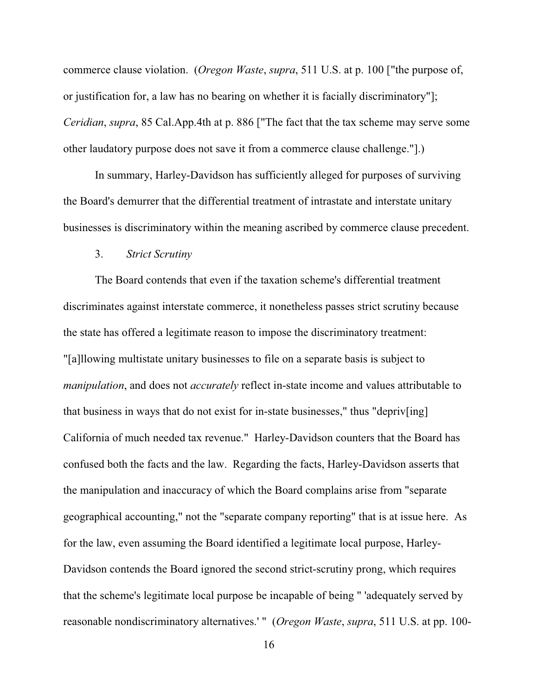commerce clause violation. (*Oregon Waste*, *supra*, 511 U.S. at p. 100 ["the purpose of, or justification for, a law has no bearing on whether it is facially discriminatory"]; *Ceridian*, *supra*, 85 Cal.App.4th at p. 886 ["The fact that the tax scheme may serve some other laudatory purpose does not save it from a commerce clause challenge."].)

In summary, Harley-Davidson has sufficiently alleged for purposes of surviving the Board's demurrer that the differential treatment of intrastate and interstate unitary businesses is discriminatory within the meaning ascribed by commerce clause precedent.

### 3. *Strict Scrutiny*

The Board contends that even if the taxation scheme's differential treatment discriminates against interstate commerce, it nonetheless passes strict scrutiny because the state has offered a legitimate reason to impose the discriminatory treatment: "[a]llowing multistate unitary businesses to file on a separate basis is subject to *manipulation*, and does not *accurately* reflect in-state income and values attributable to that business in ways that do not exist for in-state businesses," thus "depriv[ing] California of much needed tax revenue." Harley-Davidson counters that the Board has confused both the facts and the law. Regarding the facts, Harley-Davidson asserts that the manipulation and inaccuracy of which the Board complains arise from "separate geographical accounting," not the "separate company reporting" that is at issue here. As for the law, even assuming the Board identified a legitimate local purpose, Harley-Davidson contends the Board ignored the second strict-scrutiny prong, which requires that the scheme's legitimate local purpose be incapable of being " 'adequately served by reasonable nondiscriminatory alternatives.' " (*Oregon Waste*, *supra*, 511 U.S. at pp. 100-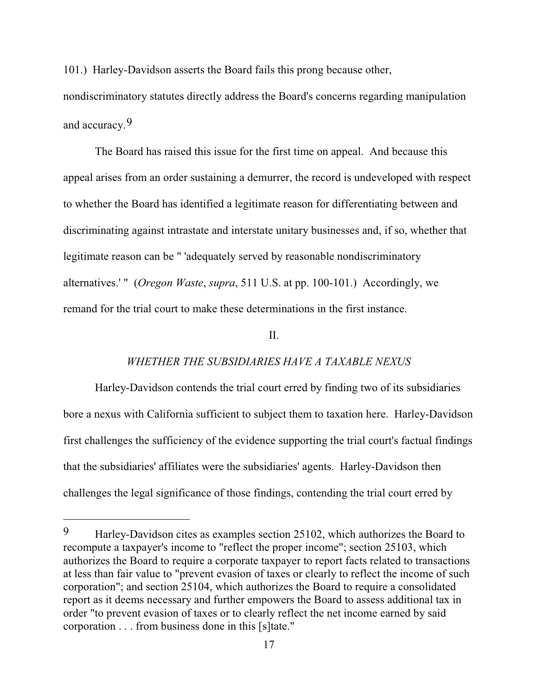101.) Harley-Davidson asserts the Board fails this prong because other, nondiscriminatory statutes directly address the Board's concerns regarding manipulation and accuracy.9

The Board has raised this issue for the first time on appeal. And because this appeal arises from an order sustaining a demurrer, the record is undeveloped with respect to whether the Board has identified a legitimate reason for differentiating between and discriminating against intrastate and interstate unitary businesses and, if so, whether that legitimate reason can be " 'adequately served by reasonable nondiscriminatory alternatives.' " (*Oregon Waste*, *supra*, 511 U.S. at pp. 100-101.) Accordingly, we remand for the trial court to make these determinations in the first instance.

### II.

### *WHETHER THE SUBSIDIARIES HAVE A TAXABLE NEXUS*

Harley-Davidson contends the trial court erred by finding two of its subsidiaries bore a nexus with California sufficient to subject them to taxation here. Harley-Davidson first challenges the sufficiency of the evidence supporting the trial court's factual findings that the subsidiaries' affiliates were the subsidiaries' agents. Harley-Davidson then challenges the legal significance of those findings, contending the trial court erred by

<sup>9</sup> Harley-Davidson cites as examples section 25102, which authorizes the Board to recompute a taxpayer's income to "reflect the proper income"; section 25103, which authorizes the Board to require a corporate taxpayer to report facts related to transactions at less than fair value to "prevent evasion of taxes or clearly to reflect the income of such corporation"; and section 25104, which authorizes the Board to require a consolidated report as it deems necessary and further empowers the Board to assess additional tax in order "to prevent evasion of taxes or to clearly reflect the net income earned by said corporation . . . from business done in this [s]tate."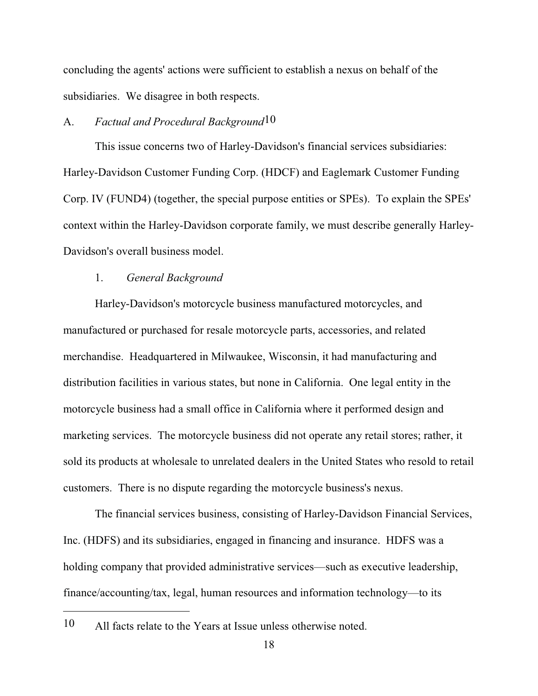concluding the agents' actions were sufficient to establish a nexus on behalf of the subsidiaries. We disagree in both respects.

# A. *Factual and Procedural Background*10

This issue concerns two of Harley-Davidson's financial services subsidiaries: Harley-Davidson Customer Funding Corp. (HDCF) and Eaglemark Customer Funding Corp. IV (FUND4) (together, the special purpose entities or SPEs). To explain the SPEs' context within the Harley-Davidson corporate family, we must describe generally Harley-Davidson's overall business model.

### 1. *General Background*

Harley-Davidson's motorcycle business manufactured motorcycles, and manufactured or purchased for resale motorcycle parts, accessories, and related merchandise. Headquartered in Milwaukee, Wisconsin, it had manufacturing and distribution facilities in various states, but none in California. One legal entity in the motorcycle business had a small office in California where it performed design and marketing services. The motorcycle business did not operate any retail stores; rather, it sold its products at wholesale to unrelated dealers in the United States who resold to retail customers. There is no dispute regarding the motorcycle business's nexus.

The financial services business, consisting of Harley-Davidson Financial Services, Inc. (HDFS) and its subsidiaries, engaged in financing and insurance. HDFS was a holding company that provided administrative services—such as executive leadership, finance/accounting/tax, legal, human resources and information technology—to its

<sup>10</sup> All facts relate to the Years at Issue unless otherwise noted.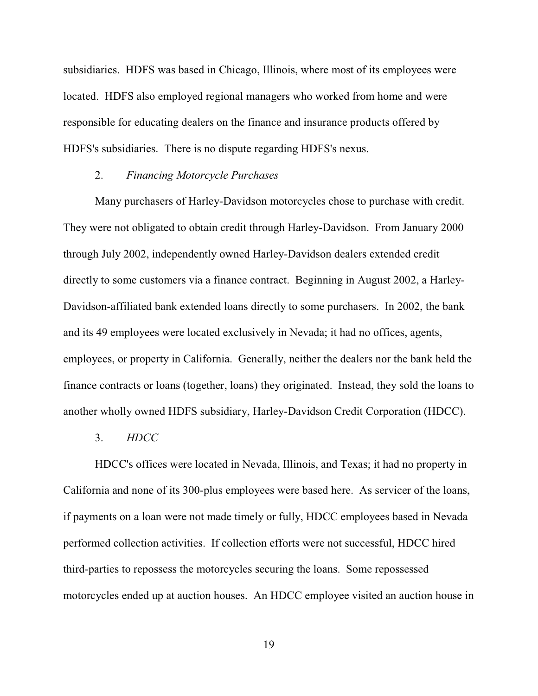subsidiaries. HDFS was based in Chicago, Illinois, where most of its employees were located. HDFS also employed regional managers who worked from home and were responsible for educating dealers on the finance and insurance products offered by HDFS's subsidiaries. There is no dispute regarding HDFS's nexus.

### 2. *Financing Motorcycle Purchases*

Many purchasers of Harley-Davidson motorcycles chose to purchase with credit. They were not obligated to obtain credit through Harley-Davidson. From January 2000 through July 2002, independently owned Harley-Davidson dealers extended credit directly to some customers via a finance contract. Beginning in August 2002, a Harley-Davidson-affiliated bank extended loans directly to some purchasers. In 2002, the bank and its 49 employees were located exclusively in Nevada; it had no offices, agents, employees, or property in California. Generally, neither the dealers nor the bank held the finance contracts or loans (together, loans) they originated. Instead, they sold the loans to another wholly owned HDFS subsidiary, Harley-Davidson Credit Corporation (HDCC).

3. *HDCC*

HDCC's offices were located in Nevada, Illinois, and Texas; it had no property in California and none of its 300-plus employees were based here. As servicer of the loans, if payments on a loan were not made timely or fully, HDCC employees based in Nevada performed collection activities. If collection efforts were not successful, HDCC hired third-parties to repossess the motorcycles securing the loans. Some repossessed motorcycles ended up at auction houses. An HDCC employee visited an auction house in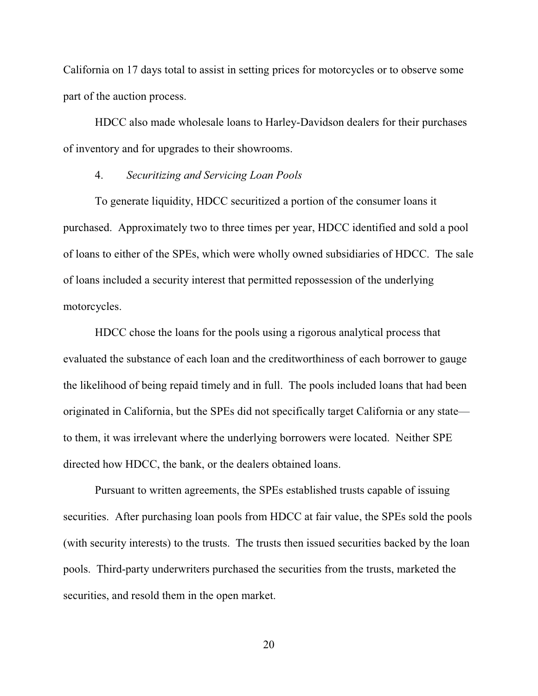California on 17 days total to assist in setting prices for motorcycles or to observe some part of the auction process.

HDCC also made wholesale loans to Harley-Davidson dealers for their purchases of inventory and for upgrades to their showrooms.

### 4. *Securitizing and Servicing Loan Pools*

To generate liquidity, HDCC securitized a portion of the consumer loans it purchased. Approximately two to three times per year, HDCC identified and sold a pool of loans to either of the SPEs, which were wholly owned subsidiaries of HDCC. The sale of loans included a security interest that permitted repossession of the underlying motorcycles.

HDCC chose the loans for the pools using a rigorous analytical process that evaluated the substance of each loan and the creditworthiness of each borrower to gauge the likelihood of being repaid timely and in full. The pools included loans that had been originated in California, but the SPEs did not specifically target California or any state to them, it was irrelevant where the underlying borrowers were located. Neither SPE directed how HDCC, the bank, or the dealers obtained loans.

Pursuant to written agreements, the SPEs established trusts capable of issuing securities. After purchasing loan pools from HDCC at fair value, the SPEs sold the pools (with security interests) to the trusts. The trusts then issued securities backed by the loan pools. Third-party underwriters purchased the securities from the trusts, marketed the securities, and resold them in the open market.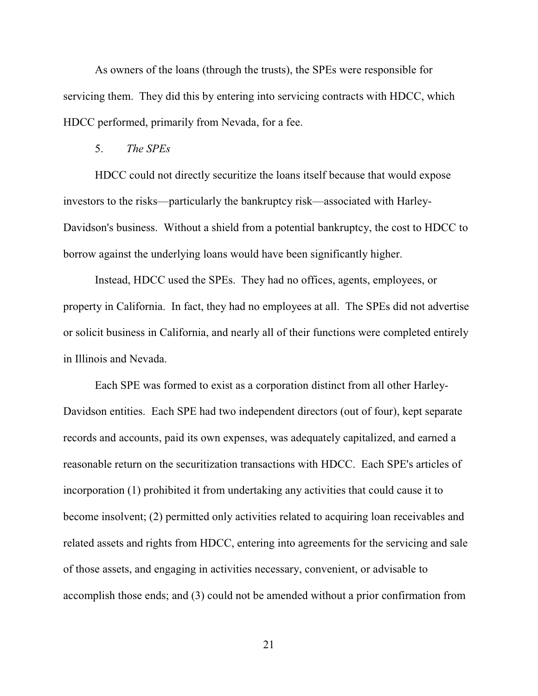As owners of the loans (through the trusts), the SPEs were responsible for servicing them. They did this by entering into servicing contracts with HDCC, which HDCC performed, primarily from Nevada, for a fee.

### 5. *The SPEs*

HDCC could not directly securitize the loans itself because that would expose investors to the risks—particularly the bankruptcy risk—associated with Harley-Davidson's business. Without a shield from a potential bankruptcy, the cost to HDCC to borrow against the underlying loans would have been significantly higher.

Instead, HDCC used the SPEs. They had no offices, agents, employees, or property in California. In fact, they had no employees at all. The SPEs did not advertise or solicit business in California, and nearly all of their functions were completed entirely in Illinois and Nevada.

Each SPE was formed to exist as a corporation distinct from all other Harley-Davidson entities. Each SPE had two independent directors (out of four), kept separate records and accounts, paid its own expenses, was adequately capitalized, and earned a reasonable return on the securitization transactions with HDCC. Each SPE's articles of incorporation (1) prohibited it from undertaking any activities that could cause it to become insolvent; (2) permitted only activities related to acquiring loan receivables and related assets and rights from HDCC, entering into agreements for the servicing and sale of those assets, and engaging in activities necessary, convenient, or advisable to accomplish those ends; and (3) could not be amended without a prior confirmation from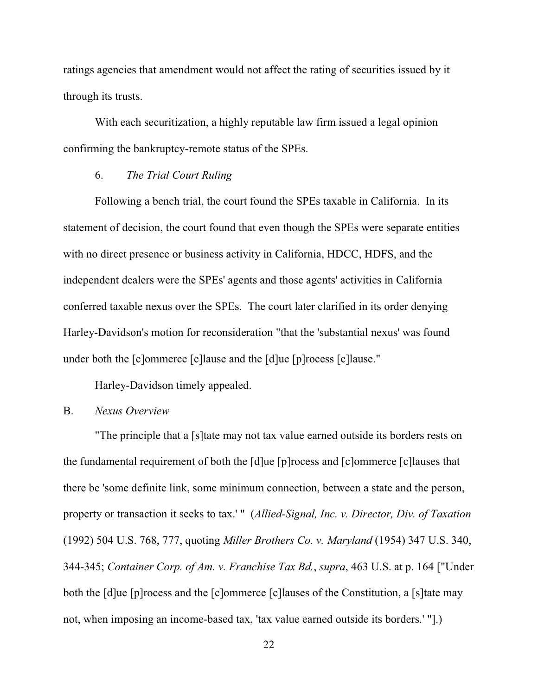ratings agencies that amendment would not affect the rating of securities issued by it through its trusts.

With each securitization, a highly reputable law firm issued a legal opinion confirming the bankruptcy-remote status of the SPEs.

## 6. *The Trial Court Ruling*

Following a bench trial, the court found the SPEs taxable in California. In its statement of decision, the court found that even though the SPEs were separate entities with no direct presence or business activity in California, HDCC, HDFS, and the independent dealers were the SPEs' agents and those agents' activities in California conferred taxable nexus over the SPEs. The court later clarified in its order denying Harley-Davidson's motion for reconsideration "that the 'substantial nexus' was found under both the [c]ommerce [c]lause and the [d]ue [p]rocess [c]lause."

Harley-Davidson timely appealed.

## B. *Nexus Overview*

"The principle that a [s]tate may not tax value earned outside its borders rests on the fundamental requirement of both the [d]ue [p]rocess and [c]ommerce [c]lauses that there be 'some definite link, some minimum connection, between a state and the person, property or transaction it seeks to tax.' " (*Allied-Signal, Inc. v. Director, Div. of Taxation* (1992) 504 U.S. 768, 777, quoting *Miller Brothers Co. v. Maryland* (1954) 347 U.S. 340, 344-345; *Container Corp. of Am. v. Franchise Tax Bd.*, *supra*, 463 U.S. at p. 164 ["Under both the [d]ue [p]rocess and the [c]ommerce [c]lauses of the Constitution, a [s]tate may not, when imposing an income-based tax, 'tax value earned outside its borders.' "].)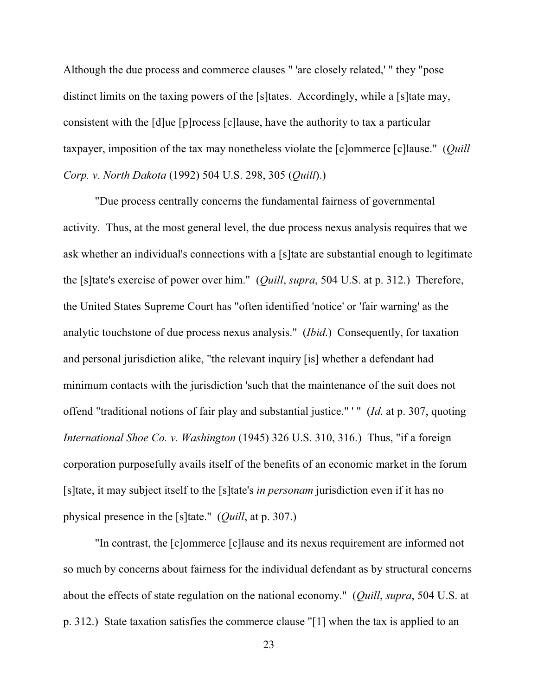Although the due process and commerce clauses " 'are closely related,' " they "pose distinct limits on the taxing powers of the [s]tates. Accordingly, while a [s]tate may, consistent with the [d]ue [p]rocess [c]lause, have the authority to tax a particular taxpayer, imposition of the tax may nonetheless violate the [c]ommerce [c]lause." (*Quill Corp. v. North Dakota* (1992) 504 U.S. 298, 305 (*Quill*).)

"Due process centrally concerns the fundamental fairness of governmental activity. Thus, at the most general level, the due process nexus analysis requires that we ask whether an individual's connections with a [s]tate are substantial enough to legitimate the [s]tate's exercise of power over him." (*Quill*, *supra*, 504 U.S. at p. 312.) Therefore, the United States Supreme Court has "often identified 'notice' or 'fair warning' as the analytic touchstone of due process nexus analysis." (*Ibid*.) Consequently, for taxation and personal jurisdiction alike, "the relevant inquiry [is] whether a defendant had minimum contacts with the jurisdiction 'such that the maintenance of the suit does not offend "traditional notions of fair play and substantial justice." ' " (*Id*. at p. 307, quoting *International Shoe Co. v. Washington* (1945) 326 U.S. 310, 316.) Thus, "if a foreign corporation purposefully avails itself of the benefits of an economic market in the forum [s]tate, it may subject itself to the [s]tate's *in personam* jurisdiction even if it has no physical presence in the [s]tate." (*Quill*, at p. 307.)

"In contrast, the [c]ommerce [c]lause and its nexus requirement are informed not so much by concerns about fairness for the individual defendant as by structural concerns about the effects of state regulation on the national economy." (*Quill*, *supra*, 504 U.S. at p. 312.) State taxation satisfies the commerce clause "[1] when the tax is applied to an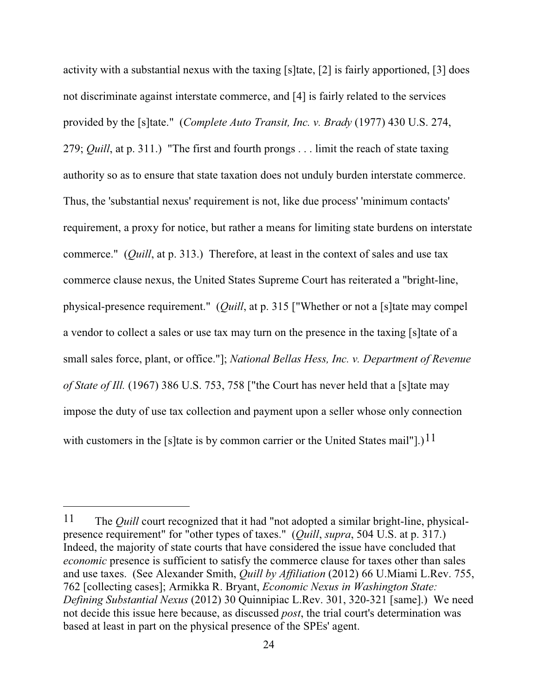activity with a substantial nexus with the taxing [s]tate, [2] is fairly apportioned, [3] does not discriminate against interstate commerce, and [4] is fairly related to the services provided by the [s]tate." (*Complete Auto Transit, Inc. v. Brady* (1977) 430 U.S. 274, 279; *Quill*, at p. 311.) "The first and fourth prongs . . . limit the reach of state taxing authority so as to ensure that state taxation does not unduly burden interstate commerce. Thus, the 'substantial nexus' requirement is not, like due process' 'minimum contacts' requirement, a proxy for notice, but rather a means for limiting state burdens on interstate commerce." (*Quill*, at p. 313.) Therefore, at least in the context of sales and use tax commerce clause nexus, the United States Supreme Court has reiterated a "bright-line, physical-presence requirement." (*Quill*, at p. 315 ["Whether or not a [s]tate may compel a vendor to collect a sales or use tax may turn on the presence in the taxing [s]tate of a small sales force, plant, or office."]; *National Bellas Hess, Inc. v. Department of Revenue of State of Ill.* (1967) 386 U.S. 753, 758 ["the Court has never held that a [s]tate may impose the duty of use tax collection and payment upon a seller whose only connection with customers in the [s]tate is by common carrier or the United States mail"].)<sup>11</sup>

<sup>11</sup> The *Quill* court recognized that it had "not adopted a similar bright-line, physicalpresence requirement" for "other types of taxes." (*Quill*, *supra*, 504 U.S. at p. 317.) Indeed, the majority of state courts that have considered the issue have concluded that *economic* presence is sufficient to satisfy the commerce clause for taxes other than sales and use taxes. (See Alexander Smith, *Quill by Affiliation* (2012) 66 U.Miami L.Rev. 755, 762 [collecting cases]; Armikka R. Bryant, *Economic Nexus in Washington State: Defining Substantial Nexus* (2012) 30 Quinnipiac L.Rev. 301, 320-321 [same].) We need not decide this issue here because, as discussed *post*, the trial court's determination was based at least in part on the physical presence of the SPEs' agent.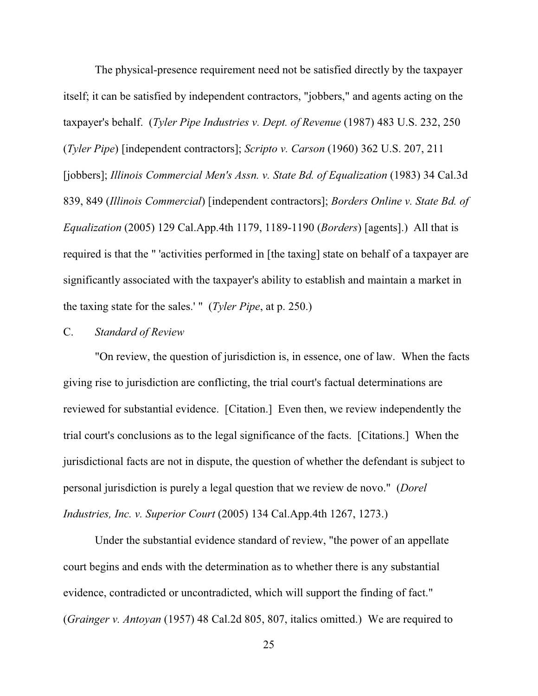The physical-presence requirement need not be satisfied directly by the taxpayer itself; it can be satisfied by independent contractors, "jobbers," and agents acting on the taxpayer's behalf. (*Tyler Pipe Industries v. Dept. of Revenue* (1987) 483 U.S. 232, 250 (*Tyler Pipe*) [independent contractors]; *Scripto v. Carson* (1960) 362 U.S. 207, 211 [jobbers]; *Illinois Commercial Men's Assn. v. State Bd. of Equalization* (1983) 34 Cal.3d 839, 849 (*Illinois Commercial*) [independent contractors]; *Borders Online v. State Bd. of Equalization* (2005) 129 Cal.App.4th 1179, 1189-1190 (*Borders*) [agents].) All that is required is that the " 'activities performed in [the taxing] state on behalf of a taxpayer are significantly associated with the taxpayer's ability to establish and maintain a market in the taxing state for the sales.' " (*Tyler Pipe*, at p. 250.)

### C. *Standard of Review*

"On review, the question of jurisdiction is, in essence, one of law. When the facts giving rise to jurisdiction are conflicting, the trial court's factual determinations are reviewed for substantial evidence. [Citation.] Even then, we review independently the trial court's conclusions as to the legal significance of the facts. [Citations.] When the jurisdictional facts are not in dispute, the question of whether the defendant is subject to personal jurisdiction is purely a legal question that we review de novo." (*Dorel Industries, Inc. v. Superior Court* (2005) 134 Cal.App.4th 1267, 1273.)

Under the substantial evidence standard of review, "the power of an appellate court begins and ends with the determination as to whether there is any substantial evidence, contradicted or uncontradicted, which will support the finding of fact." (*Grainger v. Antoyan* (1957) 48 Cal.2d 805, 807, italics omitted.) We are required to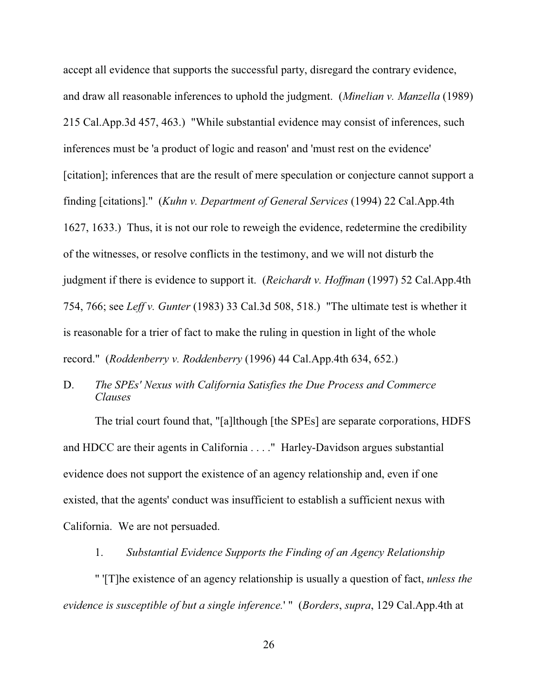accept all evidence that supports the successful party, disregard the contrary evidence, and draw all reasonable inferences to uphold the judgment. (*Minelian v. Manzella* (1989) 215 Cal.App.3d 457, 463.) "While substantial evidence may consist of inferences, such inferences must be 'a product of logic and reason' and 'must rest on the evidence' [citation]; inferences that are the result of mere speculation or conjecture cannot support a finding [citations]." (*Kuhn v. Department of General Services* (1994) 22 Cal.App.4th 1627, 1633.) Thus, it is not our role to reweigh the evidence, redetermine the credibility of the witnesses, or resolve conflicts in the testimony, and we will not disturb the judgment if there is evidence to support it. (*Reichardt v. Hoffman* (1997) 52 Cal.App.4th 754, 766; see *Leff v. Gunter* (1983) 33 Cal.3d 508, 518.) "The ultimate test is whether it is reasonable for a trier of fact to make the ruling in question in light of the whole record." (*Roddenberry v. Roddenberry* (1996) 44 Cal.App.4th 634, 652.)

D. *The SPEs' Nexus with California Satisfies the Due Process and Commerce Clauses*

The trial court found that, "[a]lthough [the SPEs] are separate corporations, HDFS and HDCC are their agents in California . . . ." Harley-Davidson argues substantial evidence does not support the existence of an agency relationship and, even if one existed, that the agents' conduct was insufficient to establish a sufficient nexus with California. We are not persuaded.

## 1. *Substantial Evidence Supports the Finding of an Agency Relationship*

" '[T]he existence of an agency relationship is usually a question of fact, *unless the evidence is susceptible of but a single inference.*'" (*Borders*, *supra*, 129 Cal.App.4th at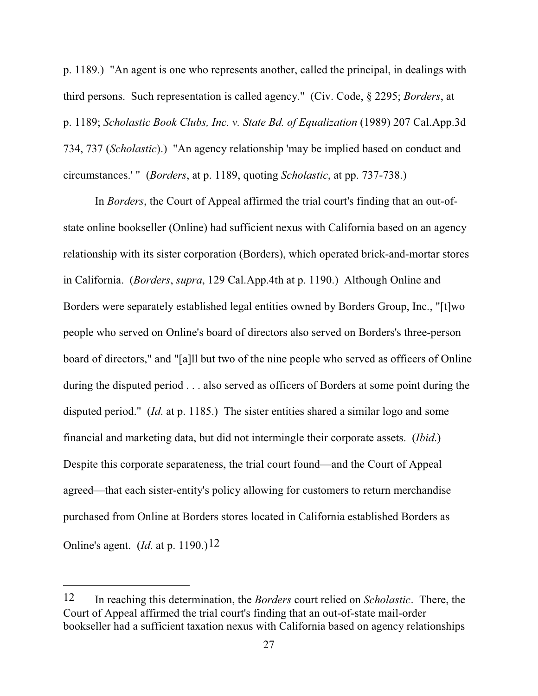p. 1189.) "An agent is one who represents another, called the principal, in dealings with third persons. Such representation is called agency." (Civ. Code, § 2295; *Borders*, at p. 1189; *Scholastic Book Clubs, Inc. v. State Bd. of Equalization* (1989) 207 Cal.App.3d 734, 737 (*Scholastic*).) "An agency relationship 'may be implied based on conduct and circumstances.' " (*Borders*, at p. 1189, quoting *Scholastic*, at pp. 737-738.)

In *Borders*, the Court of Appeal affirmed the trial court's finding that an out-ofstate online bookseller (Online) had sufficient nexus with California based on an agency relationship with its sister corporation (Borders), which operated brick-and-mortar stores in California. (*Borders*, *supra*, 129 Cal.App.4th at p. 1190.) Although Online and Borders were separately established legal entities owned by Borders Group, Inc., "[t]wo people who served on Online's board of directors also served on Borders's three-person board of directors," and "[a]ll but two of the nine people who served as officers of Online during the disputed period . . . also served as officers of Borders at some point during the disputed period." (*Id*. at p. 1185.) The sister entities shared a similar logo and some financial and marketing data, but did not intermingle their corporate assets. (*Ibid*.) Despite this corporate separateness, the trial court found—and the Court of Appeal agreed—that each sister-entity's policy allowing for customers to return merchandise purchased from Online at Borders stores located in California established Borders as Online's agent. (*Id.* at p. 1190.)<sup>12</sup>

<sup>12</sup> In reaching this determination, the *Borders* court relied on *Scholastic*. There, the Court of Appeal affirmed the trial court's finding that an out-of-state mail-order bookseller had a sufficient taxation nexus with California based on agency relationships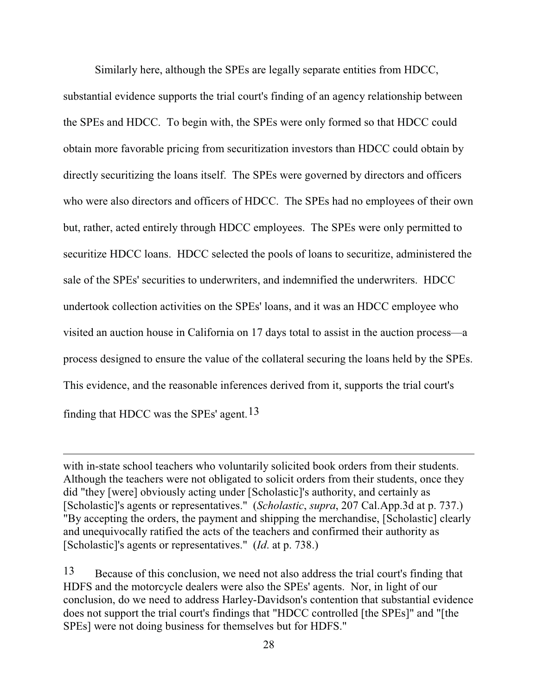Similarly here, although the SPEs are legally separate entities from HDCC, substantial evidence supports the trial court's finding of an agency relationship between the SPEs and HDCC. To begin with, the SPEs were only formed so that HDCC could obtain more favorable pricing from securitization investors than HDCC could obtain by directly securitizing the loans itself. The SPEs were governed by directors and officers who were also directors and officers of HDCC. The SPEs had no employees of their own but, rather, acted entirely through HDCC employees. The SPEs were only permitted to securitize HDCC loans. HDCC selected the pools of loans to securitize, administered the sale of the SPEs' securities to underwriters, and indemnified the underwriters. HDCC undertook collection activities on the SPEs' loans, and it was an HDCC employee who visited an auction house in California on 17 days total to assist in the auction process—a process designed to ensure the value of the collateral securing the loans held by the SPEs. This evidence, and the reasonable inferences derived from it, supports the trial court's finding that HDCC was the SPEs' agent.<sup>13</sup>

with in-state school teachers who voluntarily solicited book orders from their students. Although the teachers were not obligated to solicit orders from their students, once they did "they [were] obviously acting under [Scholastic]'s authority, and certainly as [Scholastic]'s agents or representatives." (*Scholastic*, *supra*, 207 Cal.App.3d at p. 737.) "By accepting the orders, the payment and shipping the merchandise, [Scholastic] clearly and unequivocally ratified the acts of the teachers and confirmed their authority as [Scholastic]'s agents or representatives." (*Id*. at p. 738.)

<sup>13</sup> Because of this conclusion, we need not also address the trial court's finding that HDFS and the motorcycle dealers were also the SPEs' agents. Nor, in light of our conclusion, do we need to address Harley-Davidson's contention that substantial evidence does not support the trial court's findings that "HDCC controlled [the SPEs]" and "[the SPEs] were not doing business for themselves but for HDFS."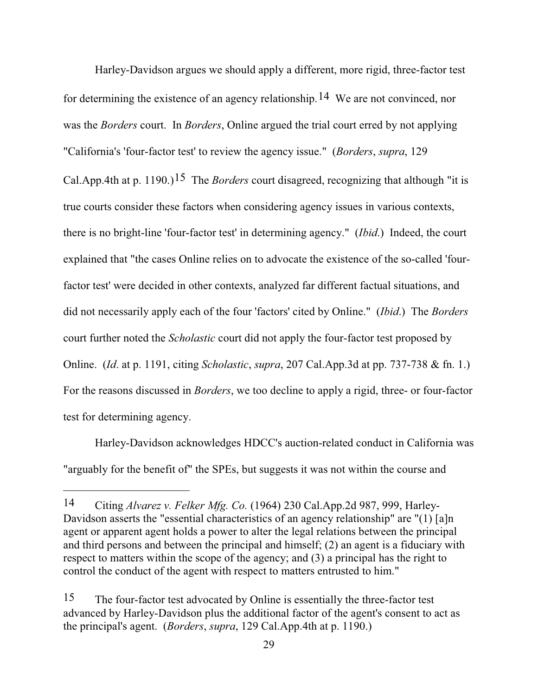Harley-Davidson argues we should apply a different, more rigid, three-factor test for determining the existence of an agency relationship.14 We are not convinced, nor was the *Borders* court. In *Borders*, Online argued the trial court erred by not applying "California's 'four-factor test' to review the agency issue." (*Borders*, *supra*, 129 Cal.App.4th at p. 1190.)<sup>15</sup> The *Borders* court disagreed, recognizing that although "it is true courts consider these factors when considering agency issues in various contexts, there is no bright-line 'four-factor test' in determining agency." (*Ibid*.) Indeed, the court explained that "the cases Online relies on to advocate the existence of the so-called 'fourfactor test' were decided in other contexts, analyzed far different factual situations, and did not necessarily apply each of the four 'factors' cited by Online." (*Ibid*.) The *Borders* court further noted the *Scholastic* court did not apply the four-factor test proposed by Online. (*Id*. at p. 1191, citing *Scholastic*, *supra*, 207 Cal.App.3d at pp. 737-738 & fn. 1.) For the reasons discussed in *Borders*, we too decline to apply a rigid, three- or four-factor test for determining agency.

Harley-Davidson acknowledges HDCC's auction-related conduct in California was "arguably for the benefit of" the SPEs, but suggests it was not within the course and

<sup>14</sup> Citing *Alvarez v. Felker Mfg. Co.* (1964) 230 Cal.App.2d 987, 999, Harley-Davidson asserts the "essential characteristics of an agency relationship" are "(1) [a]n agent or apparent agent holds a power to alter the legal relations between the principal and third persons and between the principal and himself; (2) an agent is a fiduciary with respect to matters within the scope of the agency; and (3) a principal has the right to control the conduct of the agent with respect to matters entrusted to him."

<sup>15</sup> The four-factor test advocated by Online is essentially the three-factor test advanced by Harley-Davidson plus the additional factor of the agent's consent to act as the principal's agent. (*Borders*, *supra*, 129 Cal.App.4th at p. 1190.)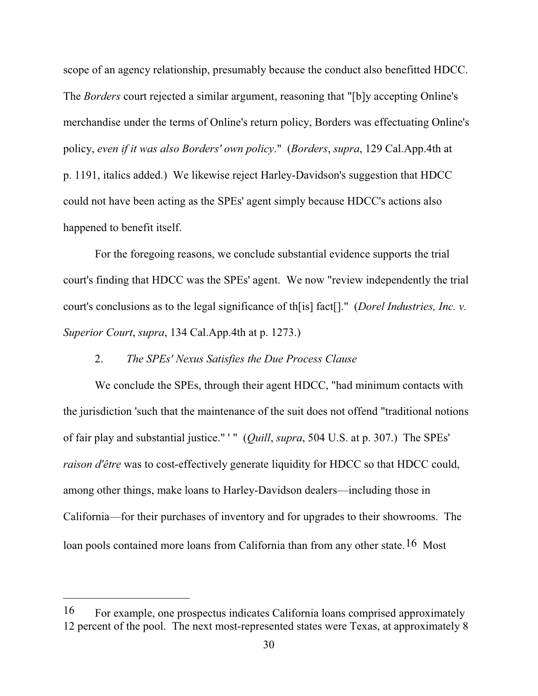scope of an agency relationship, presumably because the conduct also benefitted HDCC. The *Borders* court rejected a similar argument, reasoning that "[b]y accepting Online's merchandise under the terms of Online's return policy, Borders was effectuating Online's policy, *even if it was also Borders' own policy*." (*Borders*, *supra*, 129 Cal.App.4th at p. 1191, italics added.) We likewise reject Harley-Davidson's suggestion that HDCC could not have been acting as the SPEs' agent simply because HDCC's actions also happened to benefit itself.

For the foregoing reasons, we conclude substantial evidence supports the trial court's finding that HDCC was the SPEs' agent. We now "review independently the trial court's conclusions as to the legal significance of th[is] fact[]." (*Dorel Industries, Inc. v. Superior Court*, *supra*, 134 Cal.App.4th at p. 1273.)

## 2. *The SPEs' Nexus Satisfies the Due Process Clause*

We conclude the SPEs, through their agent HDCC, "had minimum contacts with the jurisdiction 'such that the maintenance of the suit does not offend "traditional notions of fair play and substantial justice." ' " (*Quill*, *supra*, 504 U.S. at p. 307.) The SPEs' *raison d'être* was to cost-effectively generate liquidity for HDCC so that HDCC could, among other things, make loans to Harley-Davidson dealers—including those in California—for their purchases of inventory and for upgrades to their showrooms. The loan pools contained more loans from California than from any other state. <sup>16</sup> Most

<sup>16</sup> For example, one prospectus indicates California loans comprised approximately 12 percent of the pool. The next most-represented states were Texas, at approximately 8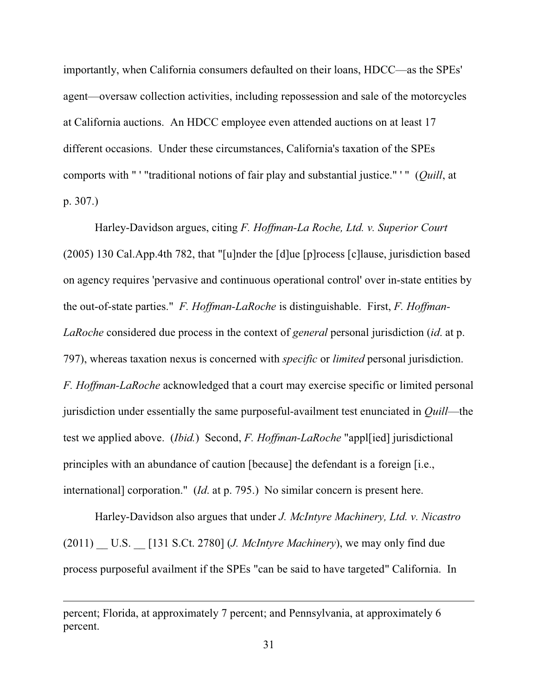importantly, when California consumers defaulted on their loans, HDCC—as the SPEs' agent—oversaw collection activities, including repossession and sale of the motorcycles at California auctions. An HDCC employee even attended auctions on at least 17 different occasions. Under these circumstances, California's taxation of the SPEs comports with " ' "traditional notions of fair play and substantial justice." ' " (*Quill*, at p. 307.)

Harley-Davidson argues, citing *F. Hoffman-La Roche, Ltd. v. Superior Court* (2005) 130 Cal.App.4th 782, that "[u]nder the [d]ue [p]rocess [c]lause, jurisdiction based on agency requires 'pervasive and continuous operational control' over in-state entities by the out-of-state parties." *F. Hoffman-LaRoche* is distinguishable. First, *F. Hoffman-LaRoche* considered due process in the context of *general* personal jurisdiction (*id*. at p. 797), whereas taxation nexus is concerned with *specific* or *limited* personal jurisdiction. *F. Hoffman-LaRoche* acknowledged that a court may exercise specific or limited personal jurisdiction under essentially the same purposeful-availment test enunciated in *Quill*—the test we applied above. (*Ibid.*) Second, *F. Hoffman-LaRoche* "appl[ied] jurisdictional principles with an abundance of caution [because] the defendant is a foreign [i.e., international] corporation." (*Id*. at p. 795.) No similar concern is present here.

Harley-Davidson also argues that under *J. McIntyre Machinery, Ltd. v. Nicastro* (2011) \_\_ U.S. \_\_ [131 S.Ct. 2780] (*J. McIntyre Machinery*), we may only find due process purposeful availment if the SPEs "can be said to have targeted" California. In

percent; Florida, at approximately 7 percent; and Pennsylvania, at approximately 6 percent.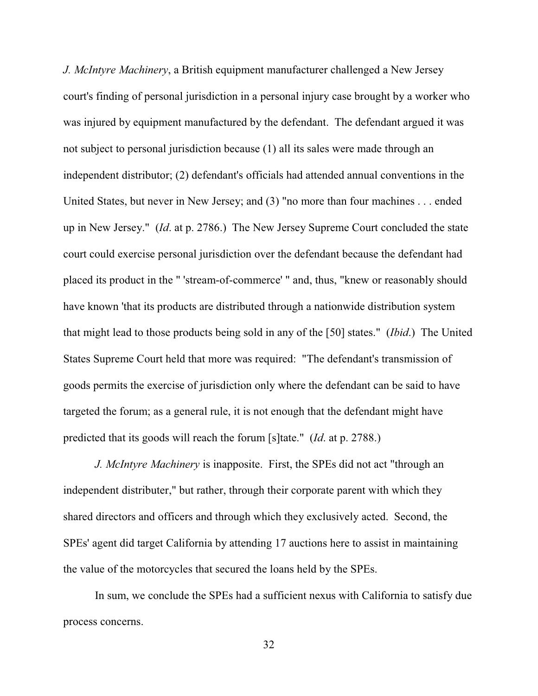*J. McIntyre Machinery*, a British equipment manufacturer challenged a New Jersey court's finding of personal jurisdiction in a personal injury case brought by a worker who was injured by equipment manufactured by the defendant. The defendant argued it was not subject to personal jurisdiction because (1) all its sales were made through an independent distributor; (2) defendant's officials had attended annual conventions in the United States, but never in New Jersey; and (3) "no more than four machines... ended up in New Jersey." (*Id*. at p. 2786.) The New Jersey Supreme Court concluded the state court could exercise personal jurisdiction over the defendant because the defendant had placed its product in the " 'stream-of-commerce' " and, thus, "knew or reasonably should have known 'that its products are distributed through a nationwide distribution system that might lead to those products being sold in any of the [50] states." (*Ibid*.) The United States Supreme Court held that more was required: "The defendant's transmission of goods permits the exercise of jurisdiction only where the defendant can be said to have targeted the forum; as a general rule, it is not enough that the defendant might have predicted that its goods will reach the forum [s]tate." (*Id*. at p. 2788.)

*J. McIntyre Machinery* is inapposite. First, the SPEs did not act "through an independent distributer," but rather, through their corporate parent with which they shared directors and officers and through which they exclusively acted. Second, the SPEs' agent did target California by attending 17 auctions here to assist in maintaining the value of the motorcycles that secured the loans held by the SPEs.

In sum, we conclude the SPEs had a sufficient nexus with California to satisfy due process concerns.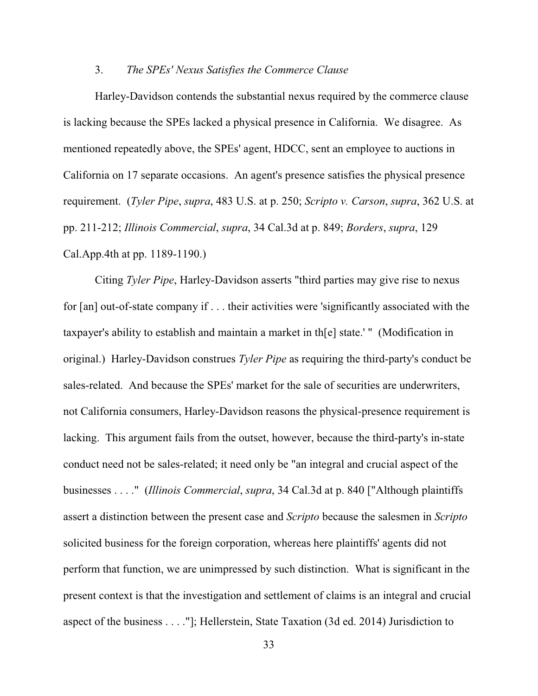### 3. *The SPEs' Nexus Satisfies the Commerce Clause*

Harley-Davidson contends the substantial nexus required by the commerce clause is lacking because the SPEs lacked a physical presence in California. We disagree. As mentioned repeatedly above, the SPEs' agent, HDCC, sent an employee to auctions in California on 17 separate occasions. An agent's presence satisfies the physical presence requirement. (*Tyler Pipe*, *supra*, 483 U.S. at p. 250; *Scripto v. Carson*, *supra*, 362 U.S. at pp. 211-212; *Illinois Commercial*, *supra*, 34 Cal.3d at p. 849; *Borders*, *supra*, 129 Cal.App.4th at pp. 1189-1190.)

Citing *Tyler Pipe*, Harley-Davidson asserts "third parties may give rise to nexus for [an] out-of-state company if . . . their activities were 'significantly associated with the taxpayer's ability to establish and maintain a market in th[e] state.' " (Modification in original.) Harley-Davidson construes *Tyler Pipe* as requiring the third-party's conduct be sales-related. And because the SPEs' market for the sale of securities are underwriters, not California consumers, Harley-Davidson reasons the physical-presence requirement is lacking. This argument fails from the outset, however, because the third-party's in-state conduct need not be sales-related; it need only be "an integral and crucial aspect of the businesses . . . ." (*Illinois Commercial*, *supra*, 34 Cal.3d at p. 840 ["Although plaintiffs assert a distinction between the present case and *Scripto* because the salesmen in *Scripto* solicited business for the foreign corporation, whereas here plaintiffs' agents did not perform that function, we are unimpressed by such distinction. What is significant in the present context is that the investigation and settlement of claims is an integral and crucial aspect of the business . . . ."]; Hellerstein, State Taxation (3d ed. 2014) Jurisdiction to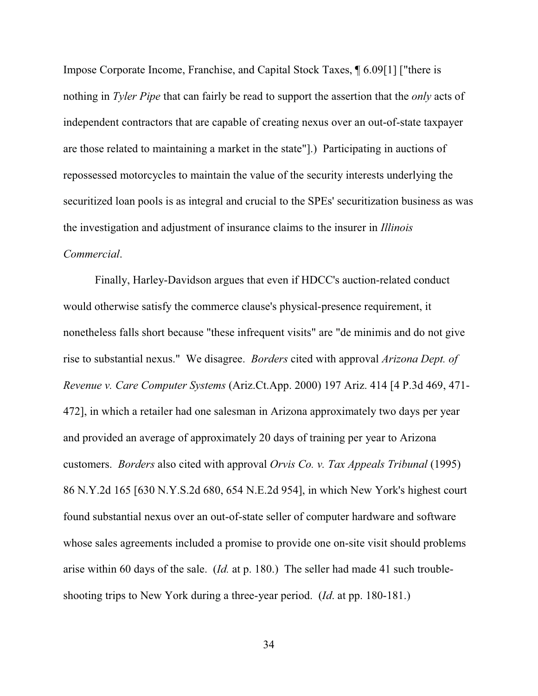Impose Corporate Income, Franchise, and Capital Stock Taxes, ¶ 6.09[1] ["there is nothing in *Tyler Pipe* that can fairly be read to support the assertion that the *only* acts of independent contractors that are capable of creating nexus over an out-of-state taxpayer are those related to maintaining a market in the state"].) Participating in auctions of repossessed motorcycles to maintain the value of the security interests underlying the securitized loan pools is as integral and crucial to the SPEs' securitization business as was the investigation and adjustment of insurance claims to the insurer in *Illinois Commercial*.

Finally, Harley-Davidson argues that even if HDCC's auction-related conduct would otherwise satisfy the commerce clause's physical-presence requirement, it nonetheless falls short because "these infrequent visits" are "de minimis and do not give rise to substantial nexus." We disagree. *Borders* cited with approval *Arizona Dept. of Revenue v. Care Computer Systems* (Ariz.Ct.App. 2000) 197 Ariz. 414 [4 P.3d 469, 471- 472], in which a retailer had one salesman in Arizona approximately two days per year and provided an average of approximately 20 days of training per year to Arizona customers. *Borders* also cited with approval *Orvis Co. v. Tax Appeals Tribunal* (1995) 86 N.Y.2d 165 [630 N.Y.S.2d 680, 654 N.E.2d 954], in which New York's highest court found substantial nexus over an out-of-state seller of computer hardware and software whose sales agreements included a promise to provide one on-site visit should problems arise within 60 days of the sale. (*Id.* at p. 180.) The seller had made 41 such troubleshooting trips to New York during a three-year period. (*Id*. at pp. 180-181.)